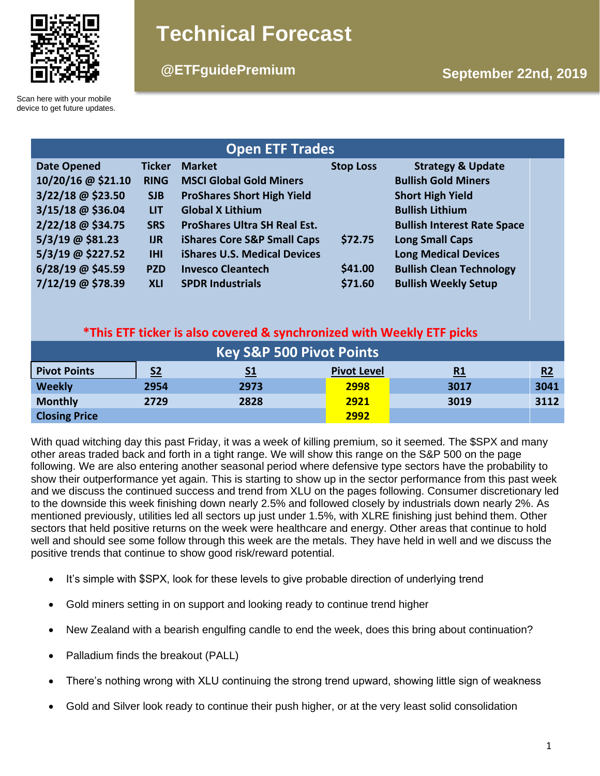

# **Technical Forecast**

Scan here with your mobile device to get future updates.

| <b>Open ETF Trades</b> |               |                                     |                  |                                    |  |  |  |  |  |
|------------------------|---------------|-------------------------------------|------------------|------------------------------------|--|--|--|--|--|
| <b>Date Opened</b>     | <b>Ticker</b> | <b>Market</b>                       | <b>Stop Loss</b> | <b>Strategy &amp; Update</b>       |  |  |  |  |  |
| 10/20/16 @ \$21.10     | <b>RING</b>   | <b>MSCI Global Gold Miners</b>      |                  | <b>Bullish Gold Miners</b>         |  |  |  |  |  |
| 3/22/18 @ \$23.50      | <b>SJB</b>    | <b>ProShares Short High Yield</b>   |                  | <b>Short High Yield</b>            |  |  |  |  |  |
| 3/15/18 @ \$36.04      | <b>LIT</b>    | <b>Global X Lithium</b>             |                  | <b>Bullish Lithium</b>             |  |  |  |  |  |
| 2/22/18 @ \$34.75      | <b>SRS</b>    | <b>ProShares Ultra SH Real Est.</b> |                  | <b>Bullish Interest Rate Space</b> |  |  |  |  |  |
| 5/3/19 @ \$81.23       | <b>IJR</b>    | iShares Core S&P Small Caps         | \$72.75          | <b>Long Small Caps</b>             |  |  |  |  |  |
| 5/3/19 @ \$227.52      | <b>IHI</b>    | <b>iShares U.S. Medical Devices</b> |                  | <b>Long Medical Devices</b>        |  |  |  |  |  |
| 6/28/19 @ \$45.59      | <b>PZD</b>    | <b>Invesco Cleantech</b>            | \$41.00          | <b>Bullish Clean Technology</b>    |  |  |  |  |  |
| 7/12/19 @ \$78.39      | <b>XLI</b>    | <b>SPDR Industrials</b>             | \$71.60          | <b>Bullish Weekly Setup</b>        |  |  |  |  |  |
|                        |               |                                     |                  |                                    |  |  |  |  |  |

# **\*This ETF ticker is also covered & synchronized with Weekly ETF picks**

| <b>Key S&amp;P 500 Pivot Points</b> |                |           |                    |           |      |  |  |  |
|-------------------------------------|----------------|-----------|--------------------|-----------|------|--|--|--|
| <b>Pivot Points</b>                 | S <sub>2</sub> | <u>S1</u> | <b>Pivot Level</b> | <u>R1</u> | R2   |  |  |  |
| <b>Weekly</b>                       | 2954           | 2973      | 2998               | 3017      | 3041 |  |  |  |
| <b>Monthly</b>                      | 2729           | 2828      | 2921               | 3019      | 3112 |  |  |  |
| <b>Closing Price</b>                |                |           | 2992               |           |      |  |  |  |

With quad witching day this past Friday, it was a week of killing premium, so it seemed. The \$SPX and many other areas traded back and forth in a tight range. We will show this range on the S&P 500 on the page following. We are also entering another seasonal period where defensive type sectors have the probability to show their outperformance yet again. This is starting to show up in the sector performance from this past week and we discuss the continued success and trend from XLU on the pages following. Consumer discretionary led to the downside this week finishing down nearly 2.5% and followed closely by industrials down nearly 2%. As mentioned previously, utilities led all sectors up just under 1.5%, with XLRE finishing just behind them. Other sectors that held positive returns on the week were healthcare and energy. Other areas that continue to hold well and should see some follow through this week are the metals. They have held in well and we discuss the positive trends that continue to show good risk/reward potential.

- It's simple with \$SPX, look for these levels to give probable direction of underlying trend
- Gold miners setting in on support and looking ready to continue trend higher
- New Zealand with a bearish engulfing candle to end the week, does this bring about continuation?
- Palladium finds the breakout (PALL)
- There's nothing wrong with XLU continuing the strong trend upward, showing little sign of weakness
- Gold and Silver look ready to continue their push higher, or at the very least solid consolidation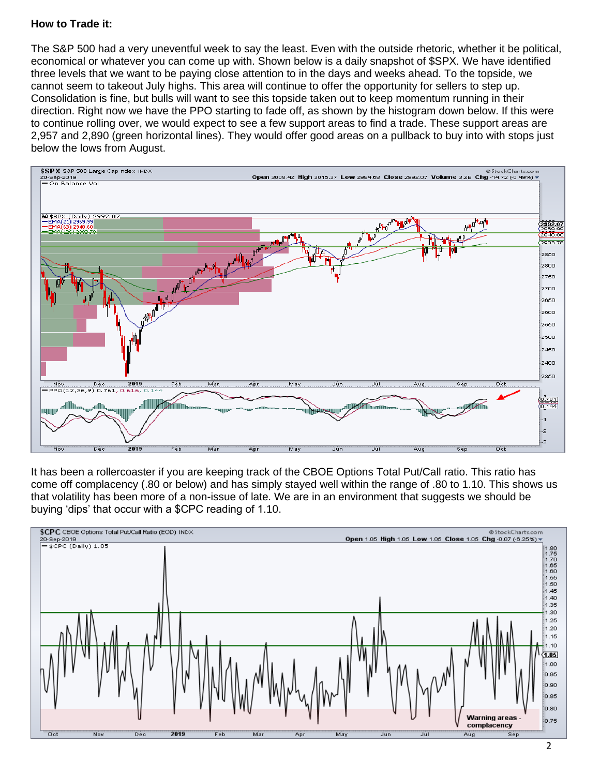## **How to Trade it:**

The S&P 500 had a very uneventful week to say the least. Even with the outside rhetoric, whether it be political, economical or whatever you can come up with. Shown below is a daily snapshot of \$SPX. We have identified three levels that we want to be paying close attention to in the days and weeks ahead. To the topside, we cannot seem to takeout July highs. This area will continue to offer the opportunity for sellers to step up. Consolidation is fine, but bulls will want to see this topside taken out to keep momentum running in their direction. Right now we have the PPO starting to fade off, as shown by the histogram down below. If this were to continue rolling over, we would expect to see a few support areas to find a trade. These support areas are 2,957 and 2,890 (green horizontal lines). They would offer good areas on a pullback to buy into with stops just below the lows from August.



It has been a rollercoaster if you are keeping track of the CBOE Options Total Put/Call ratio. This ratio has come off complacency (.80 or below) and has simply stayed well within the range of .80 to 1.10. This shows us that volatility has been more of a non-issue of late. We are in an environment that suggests we should be buying 'dips' that occur with a \$CPC reading of 1.10.

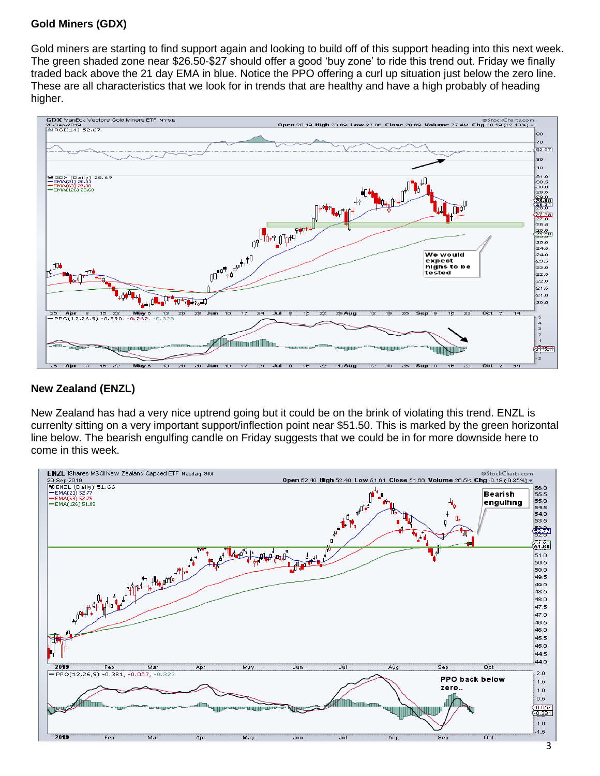# **Gold Miners (GDX)**

Gold miners are starting to find support again and looking to build off of this support heading into this next week. The green shaded zone near \$26.50-\$27 should offer a good 'buy zone' to ride this trend out. Friday we finally traded back above the 21 day EMA in blue. Notice the PPO offering a curl up situation just below the zero line. These are all characteristics that we look for in trends that are healthy and have a high probably of heading higher.



#### **New Zealand (ENZL)**

New Zealand has had a very nice uptrend going but it could be on the brink of violating this trend. ENZL is currenlty sitting on a very important support/inflection point near \$51.50. This is marked by the green horizontal line below. The bearish engulfing candle on Friday suggests that we could be in for more downside here to come in this week.

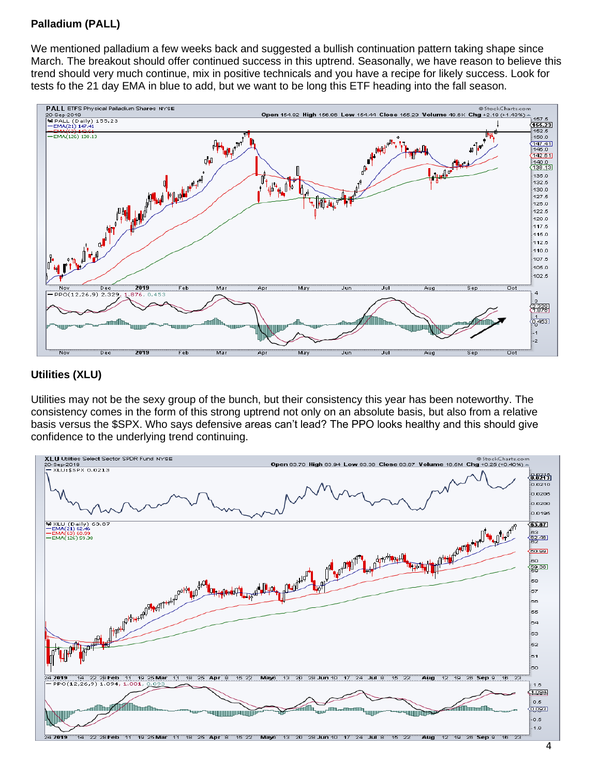# **Palladium (PALL)**

We mentioned palladium a few weeks back and suggested a bullish continuation pattern taking shape since March. The breakout should offer continued success in this uptrend. Seasonally, we have reason to believe this trend should very much continue, mix in positive technicals and you have a recipe for likely success. Look for tests fo the 21 day EMA in blue to add, but we want to be long this ETF heading into the fall season.



#### **Utilities (XLU)**

Utilities may not be the sexy group of the bunch, but their consistency this year has been noteworthy. The consistency comes in the form of this strong uptrend not only on an absolute basis, but also from a relative basis versus the \$SPX. Who says defensive areas can't lead? The PPO looks healthy and this should give confidence to the underlying trend continuing.